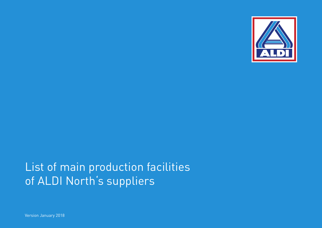

## List of main production facilities of ALDI North's suppliers

Version January 2018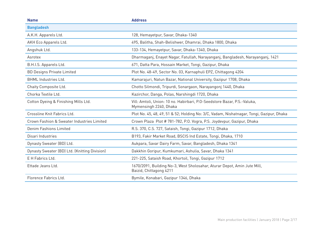| <b>Address</b>                                                                                      |
|-----------------------------------------------------------------------------------------------------|
|                                                                                                     |
| 128, Hemayetpur, Savar, Dhaka-1340                                                                  |
| 495, Balitha, Shah-Belishwer, Dhamrai, Dhaka 1800, Dhaka                                            |
| 133-134, Hemayetpur, Savar, Dhaka-1340, Dhaka                                                       |
| Dharmaganj, Enayet Nagar, Fatullah, Narayanganj, Bangladesh, Narayanganj, 1421                      |
| 671, Datta Para, Hossain Market, Tongi, Gazipur, Dhaka                                              |
| Plot No. 48-49, Sector No. 03, Karnaphuli EPZ, Chittagong 4204                                      |
| Kamarajuri, Natun Bazar, National University, Gazipur 1708, Dhaka                                   |
| Chotto Silmondi, Tripurdi, Sonargaon, Narayangonj 1440, Dhaka                                       |
| Kazirchor, Danga, Polas, Narshingdi 1720, Dhaka                                                     |
| Vill: Amtoli, Union: 10 no. Habirbari, P.O-Seedstore Bazar, P.S.-Valuka,<br>Mymensingh 2240, Dhaka  |
| Plot No. 45, 48, 49, 51 & 52; Holding No: 3/C, Vadam, Nishatnagar, Tongi, Gazipur, Dhaka            |
| Crown Plaza Plot #781-782, P.O. Vogra, P.S. Joydevpur, Gazipur, Dhaka                               |
| R.S. 370, C.S. 727, Sataish, Tongi, Gazipur 1712, Dhaka                                             |
| B193, Fakir Market Road, BSCIS Ind Estate, Tongi, Dhaka, 1710                                       |
| Aukpara, Savar Dairy Farm, Savar, Bangladesh, Dhaka 1341                                            |
| Dakkhin Goripur, Kumkumari, Ashulia, Savar, Dhaka 1341                                              |
| 221-225, Sataish Road, Khortoil, Tongi, Gazipur 1712                                                |
| 1670/2091, Building No-3, West Sholosahar, Aturar Depot, Amin Jute Mill,<br>Baizid, Chittagong 4211 |
| Bymile, Konabari, Gazipur 1346, Dhaka                                                               |
|                                                                                                     |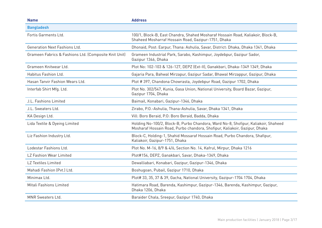| <b>Name</b>                                           | <b>Address</b>                                                                                                                                                   |
|-------------------------------------------------------|------------------------------------------------------------------------------------------------------------------------------------------------------------------|
| <b>Bangladesh</b>                                     |                                                                                                                                                                  |
| Fortis Garments Ltd.                                  | 100/1, Block-B, East Chandra, Shahed Mosharaf Hossain Road, Kaliakoir, Block-B,<br>Shaheed Mosharraf Hossain Road, Gazipur-1751, Dhaka                           |
| Generation Next Fashions Ltd.                         | Dhonaid, Post: Earpur, Thana: Ashulia, Savar, District: Dhaka, Dhaka 1341, Dhaka                                                                                 |
| Grameen Fabrics & Fashions Ltd. (Composite Knit Unit) | Grameen Industrial Park, Sarabo, Kashimpur, Joydebpur, Gazipur Sador,<br>Gazipur 1346, Dhaka                                                                     |
| Grameen Knitwear Ltd.                                 | Plot No: 102-103 & 126-127, DEPZ (Ext-II), Ganakbari, Dhaka-1349 1349, Dhaka                                                                                     |
| Habitus Fashion Ltd.                                  | Gajaria Para, Bahwal Mirzapur, Gazipur Sadar, Bhawal Mirzappur, Gazipur, Dhaka                                                                                   |
| Hasan Tanvir Fashion Wears Ltd.                       | Plot #397, Chandona Chowrasta, Joydebpur Road, Gazipur 1702, Dhaka                                                                                               |
| Interfab Shirt Mfg. Ltd.                              | Plot No. 302/547, Kunia, Gasa Union, National University, Board Bazar, Gazipur,<br>Gazipur 1704, Dhaka                                                           |
| J.L. Fashions Limited                                 | Baimail, Konabari, Gazipur-1346, Dhaka                                                                                                                           |
| J.L. Sweaters Ltd.                                    | Zirabo, P.O.-Ashulia, Thana-Ashulia, Savar, Dhaka 1341, Dhaka                                                                                                    |
| KA Design Ltd.                                        | Vill: Boro Beraid, P.O: Boro Beraid, Badda, Dhaka                                                                                                                |
| Lida Textile & Dyeing Limited                         | Holding No-100/2, Block-B, Purbo Chandora, Ward No-8, Shofipur, Kaliakoir, Shaheed<br>Mosharaf Hossain Road, Purbo chandora, Shofipur, Kaliakoir, Gazipur, Dhaka |
| Liz Fashion Industry Ltd.                             | Block-C, Holding-1, Shahid Mossaraf Hossain Road, Purbo Chandora, Shafipur,<br>Kaliakoir, Gazipur-1751, Dhaka                                                    |
| Lodestar Fashions Ltd.                                | Plot No. M-16, 8/9 & 4/6, Section No. 14, Kafrul, Mirpur, Dhaka 1216                                                                                             |
| LZ Fashion Wear Limited                               | Plot#154, DEPZ, Ganakbari, Savar, Dhaka-1349, Dhaka                                                                                                              |
| <b>LZ Textiles Limited</b>                            | Dewalliabari, Konabari, Gazipur, Gazipur-1346, Dhaka                                                                                                             |
| Mahadi Fashion (Pvt.) Ltd.                            | Boshugoan, Pubail, Gazipur 1710, Dhaka                                                                                                                           |
| Minimax Ltd.                                          | Plot# 33, 35, 37 & 39, Gacha, National University, Gazipur-1704 1704, Dhaka                                                                                      |
| Mitali Fashions Limited                               | Hatimara Road, Barenda, Kashimpur, Gazipur-1346, Barenda, Kashimpur, Gazipur,<br>Dhaka 1206, Dhaka                                                               |
| MNR Sweaters Ltd.                                     | Baraider Chala, Sreepur, Gazipur 1740, Dhaka                                                                                                                     |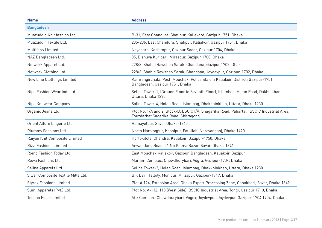| <b>Name</b>                         | <b>Address</b>                                                                                                                    |
|-------------------------------------|-----------------------------------------------------------------------------------------------------------------------------------|
| <b>Bangladesh</b>                   |                                                                                                                                   |
| Muazuddin Knit fashion Ltd.         | B-31, East Chandura, Shafipur, Kaliakore, Gazipur 1751, Dhaka                                                                     |
| Muazuddin Textile Ltd.              | 235-236, East Chandura, Shafipur, Kaliakoir, Gazipur 1751, Dhaka                                                                  |
| <b>Multifabs Limited</b>            | Nayapara, Kashimpur, Gazipur Sadar, Gazipur 1704, Dhaka                                                                           |
| NAZ Bangladesh Ltd.                 | 05, Bishuya Kuribari, Mirzapur, Gazipur 1700, Dhaka                                                                               |
| Network Apparel Ltd.                | 228/3, Shahid Rawshon Sarak, Chandana, Gazipur 1702, Dhaka                                                                        |
| Network Clothing Ltd.               | 228/3, Shahid Rawshan Sarak, Chandana, Joydevpur, Gazipur, 1702, Dhaka                                                            |
| New Line Clothings Limited          | Kamrangirchala, Post: Mouchak, Police Staion: Kaliakoir, District: Gazipur-1751,<br>Bangladesh, Gazipur 1751, Dhaka               |
| Nipa Fashion Wear Ind. Ltd.         | Selina Tower-1, (Ground Floor to Seventh Floor), Islambag, Holan Road, Dakhinkhan,<br>Uttara, Dhaka 1230                          |
| Nipa Knitwear Company               | Salina Tower-4, Holan Road, Islambag, Dhakkhinkhan, Uttara, Dhaka 1230                                                            |
| Organic Jeans Ltd.                  | Plot No. 1/A and 2, Block-B, BSCIC I/A, Shagarika Road, Pahartali, BSCIC Industrial Area,<br>Fouzdarhat Sagarika Road, Chittagong |
| Orient Allure Lingerie Ltd.         | Hamayetpur, Savar Dhaka-1340                                                                                                      |
| Plummy Fashions Ltd.                | North Narsingpur, Kashipur, Fatullah, Narayanganj, Dhaka 1420                                                                     |
| Raiyan Knit Composite Limited       | Hortokitola, Chandra, Kaliakoir, Gazipur-1750, Dhaka                                                                              |
| <b>Rizvi Fashions Limited</b>       | Anwar Jang Road, 01 No Kalma Bazar, Savar, Dhaka-1341                                                                             |
| Romo Fashion Today Ltd.             | East Mouchak Kaliakoir, Gazipur, Bangladesh, Kaliakoir, Gazipur                                                                   |
| Rowa Fashions Ltd.                  | Mariam Complex, Chowdhurybari, Vogra, Gazipur-1704, Dhaka                                                                         |
| Selina Apparels Ltd.                | Selina Tower-2, Holan Road, Islambag, Dhakkhinkhan, Uttara, Dhaka 1230                                                            |
| Silver Composite Textile Mills Ltd. | B.K Bari, Taltoly, Monipur, Mirzapur, Gazipur-1749, Dhaka                                                                         |
| Styrax Fashions Limited.            | Plot #194, Extension Area, Dhaka Export Processing Zone, Ganakbari, Savar, Dhaka 1349                                             |
| Sumi Apparels (Pvt.) Ltd.           | Plot No. A-112, 113 (West Side), BSCIC Industrial Area, Tongi, Gazipur 1710, Dhaka                                                |
| <b>Techno Fiber Limited</b>         | Afiz Complex, Chowdhurybari, Vogra, Joydevpur, Joydevpur, Gazipur-1704 1704, Dhaka                                                |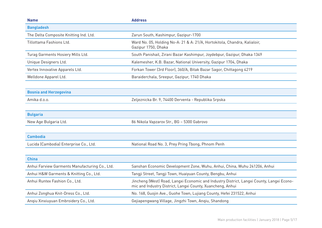| <b>Name</b>                                    | <b>Address</b>                                                                                                                                          |
|------------------------------------------------|---------------------------------------------------------------------------------------------------------------------------------------------------------|
| <b>Bangladesh</b>                              |                                                                                                                                                         |
| The Delta Composite Knitting Ind. Ltd.         | Zarun South, Kashimpur, Gazipur-1700                                                                                                                    |
| Tillottama Fashions Ltd.                       | Ward No. 05, Holding No-A: 21 & A: 21/A, Hortokitola, Chandra, Kalialoir,<br>Gazipur 1750, Dhaka                                                        |
| Turag Garments Hosiery Mills Ltd.              | South Panishail, Zirani Bazar Kashimpur, Joydebpur, Gazipur, Dhaka 1349                                                                                 |
| Unique Designers Ltd.                          | Kalemesher, K.B. Bazar, National University, Gazipur 1704, Dhaka                                                                                        |
| Vertex Innovative Apparels Ltd.                | Forkan Tower (3rd Floor), 360/A, Bitak Bazar Sagor, Chittagong 4219                                                                                     |
| Welldone Apparel Ltd.                          | Baraiderchala, Sreepur, Gazipur, 1740 Dhaka                                                                                                             |
|                                                |                                                                                                                                                         |
| <b>Bosnia and Herzegovina</b>                  |                                                                                                                                                         |
| Amika d.o.o.                                   | Zeljeznicka Br. 9, 74400 Derventa - Republika Srpska                                                                                                    |
|                                                |                                                                                                                                                         |
| <b>Bulgaria</b>                                |                                                                                                                                                         |
| New Age Bulgaria Ltd.                          | 86 Nikola Vapzarov Str., BG - 5300 Gabrovo                                                                                                              |
|                                                |                                                                                                                                                         |
| <b>Cambodia</b>                                |                                                                                                                                                         |
| Lucida (Cambodia) Enterprise Co., Ltd.         | National Road No. 3, Prey Pring Tbong, Phnom Penh                                                                                                       |
|                                                |                                                                                                                                                         |
| <b>China</b>                                   |                                                                                                                                                         |
| Anhui Farview Garments Manufacturing Co., Ltd. | Sanshan Economic Development Zone, Wuhu, Anhui, China, Wuhu 241206, Anhui                                                                               |
| Anhui H&W Garments & Knitting Co., Ltd.        | Tangji Street, Tangji Town, Huaiyuan County, Bengbu, Anhui                                                                                              |
| Anhui Runtex Fashion Co., Ltd.                 | Jincheng (West) Road, Langxi Economic and Industry District, Langxi County, Langxi Econo-<br>mic and Industry District, Langxi County, Xuancheng, Anhui |
| Anhui Zonghua Knit-Dress Co., Ltd.             | No. 168, Guojin Ave., Guohe Town, Lujiang County, Hefei 231522, Anhui                                                                                   |
| Angiu Xinxiuyuan Embroidery Co., Ltd.          | Gejiapengwang Village, Jingzhi Town, Anqiu, Shandong                                                                                                    |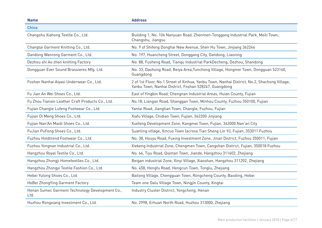| <b>Name</b>                                             | <b>Address</b>                                                                                                                                       |
|---------------------------------------------------------|------------------------------------------------------------------------------------------------------------------------------------------------------|
| <b>China</b>                                            |                                                                                                                                                      |
| Changshu Xiahong Textile Co., Ltd.                      | Building 1, No. 106 Nanyuan Road, Zhenmen-Tonggang Industrial Park, Meili Town,<br>Changshu, Jiangsu                                                 |
| Changtai Garment Knitting Co., Ltd.                     | No. 9 of Shifeng Donghai New Avenue, Shen Hu Town, Jinjiang 362246                                                                                   |
| Dandong Wanrong Garment Co., Ltd.                       | No. 197, Huancheng Street, Donggang City, Dandong, Liaoning                                                                                          |
| Dezhou shi Ao zhen knitting Factory                     | No. 88, Fusheng Road, Tiangu Industrial ParkDecheng, Dezhou, Shandong                                                                                |
| Dongguan Ever Sound Brassieres Mfg. Ltd.                | No. 33, Daohong Road, Beiya Area, Tunchong Village, Hongmei Town, Dongguan 523160,<br>Guangdong                                                      |
| Foshan Nanhai Aiyasi Underwear Co., Ltd.                | 2 of 1st Floor, No.1 Street of Xinhua, Yanbu Town, Nanhai District, No.2, Shachong Village,<br>Yanbu Town, Nanhai District, Foshan 528247, Guangdong |
| Fu Jian An Wei Shoes Co., Ltd.                          | East of Yingbin Road, Chengnan Industrial Areas, Huian County, Fujian                                                                                |
| Fu Zhou Tianxin Leather Craft Products Co., Ltd.        | No.18, Liangan Road, Shanggan Town, Minhou County, Fuzhou 350100, Fujian                                                                             |
| Fujian Changle Lufeng Footwear Co., Ltd.                | Yantai Road, Jiangtian Town, Changle, Fuzhou, Fujian                                                                                                 |
| Fujian Di Meng Shoes Co., Ltd.                          | Xiafu Village, Chidian Town, Fujian, 362200 Jinjiang                                                                                                 |
| Fujian Nan'An Maidi Shoes Co., Ltd.                     | Xuefeng Development Zone, Kangmei Town, Fujian, 362000 Nan'an City                                                                                   |
| FuJian PuFeng Shoes Co., Ltd.                           | Suanling village, Xincuo Town (across Tian Sheng Lin Yi), Fujian, 353011 Fuzhou                                                                      |
| Fuzhou Holdtrend Footwear Co., Ltd.                     | No. 38, Houyu Road, Fuxing Investment Zone, Jinan District, Fuzhou 350011, Fujian                                                                    |
| Fuzhou Yongnan Industrial Co., Ltd.                     | Xiekeng Industrial Zone, Chengmen Town, Cangshan District, Fujian, 350018 Fuzhou                                                                     |
| Hangzhou Royal Textile Co., Ltd.                        | No. 66, Tiyu Road, Qiantan Town, Jiande, Hangzhou 311602, Zhejiang                                                                                   |
| Hangzhou Zhongji Hometextiles Co., Ltd.                 | Beigan industrial Zone, Xinyi Village, Xiaoshan, Hangzhou 311202, Zhejiang                                                                           |
| Hangzhou Zhongyi Textile Fashion Co., Ltd.              | No. 458, Hengfu Road, Hengcun Town, Tonglu, Zhejiang                                                                                                 |
| Hebei Yulong Shoes Co., Ltd.                            | Bailong Village, Chengguan Town, Rongcheng County, Baoding, Hebei                                                                                    |
| HeBei ZhongYing Garment Factory                         | Team one Dalu Village Town, Ningjin County, Xingtai                                                                                                  |
| Henan Sumec Garment Technology Development Co.,<br>Ltd. | Industry Cluster District, Yongcheng, Henan                                                                                                          |
| Huzhou Rongxiang Investment Co., Ltd.                   | No. 2998, Erhuan North Road, Huzhou 313000, Zhejiang                                                                                                 |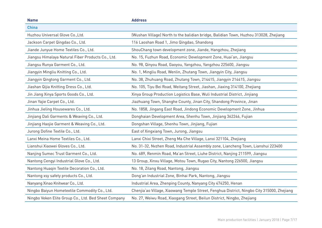| <b>Name</b>                                          | <b>Address</b>                                                                             |
|------------------------------------------------------|--------------------------------------------------------------------------------------------|
| <b>China</b>                                         |                                                                                            |
| Huzhou Universal Glove Co., Ltd.                     | (Wushan Village) North to the balidian bridge, Balidian Town, Huzhou 313028, Zhejiang      |
| Jackson Carpet Qingdao Co., Ltd.                     | 116 Laoshan Road 1, Jimo Qingdao, Shandong                                                 |
| Jiande Junyue Home Textiles Co., Ltd.                | ShouChang town development zone, Jiande, Hangzhou, Zhejiang                                |
| Jiangsu Himalaya Natural Fiber Products Co., Ltd.    | No. 15, Fuzhun Road, Economic Development Zone, Huai'an, Jiangsu                           |
| Jiangsu Runya Garment Co., Ltd.                      | No. 98, Qinyou Road, Gaoyou, Yangzhou, Yangzhou 225600, Jiangsu                            |
| Jiangyin Mingliu Knitting Co., Ltd.                  | No. 1, Mingliu Road, Wenlin, Zhutang Town, Jiangyin City, Jiangsu                          |
| Jiangyin Qingtong Garment Co., Ltd.                  | No. 38, Zhuhuang Road, Zhutang Town, 214415, Jiangyin 214415, Jiangsu                      |
| Jiashan Qijia Knitting Dress Co., Ltd.               | No. 105, Tiyu Bei Road, Weitang Street, Jiashan, Jiaxing 314100, Zhejiang                  |
| Jin Jiang Xinya Sports Goods Co., Ltd.               | Xinya Group Production Logistics Base, Wuli Industrial District, Jinjiang                  |
| Jinan Yajie Carpet Co., Ltd.                         | Jiazhuang Town, Shanghe County, Jinan City, Shandong Province, Jinan                       |
| Jinhua Jieling Housewares Co., Ltd.                  | No. 1858, Jingang East Road, Jindong Economic Development Zone, Jinhua                     |
| Jinjiang Dali Garments & Weaving Co., Ltd.           | Donghaian Development Area, Shenhu Town, Jinjiang 362246, Fujian                           |
| Jinjiang Haojie Garment & Weaving Co., Ltd.          | Dongshan Village, Shenhu Town, Jinjiang, Fujian                                            |
| Jurong Dofine Textile Co., Ltd.                      | East of Xingxiang Town, Jurong, Jiangsu                                                    |
| Lanxi Meina Home Textiles Co., Ltd.                  | Lanxi Chixi Street, Zheng Ma Che Village, Lanxi 321104, Zhejiang                           |
| Lianshui Xiaowei Gloves Co., Ltd.                    | No. 31-32, Nvzhen Road, Industrial Assembly zone, Liancheng Town, Lianshui 223400          |
| Nanjing Sumec Trust Garment Co., Ltd.                | No. 689, Renmin Road, Ma'an Street, Liuhe District, Nanjing 211599, Jiangsu                |
| Nantong Cengyi Industrial Glove Co., Ltd.            | 13 Group, Xinxu Village, Motou Town, Rugao City, Nantong 226500, Jiangsu                   |
| Nantong Huaqin Textile Decoration Co., Ltd.          | No. 18, Zilang Road, Nantong, Jiangsu                                                      |
| Nantong xsy safety products Co., Ltd.                | Dong'an Industrial Zone, Binhai Park, Nantong, Jiangsu                                     |
| Nanyang Xinao Knitwear Co., Ltd.                     | Industrial Area, Zhenping County, Nanyang City 474250, Henan                               |
| Ningbo Baiyun Hometextile Commodity Co., Ltd.        | Chenjia'ao Village, Xiaowang Temple Street, Fenghua District, Ningbo City 315000, Zhejiang |
| Ningbo Veken Elite Group Co., Ltd. Bed Sheet Company | No. 27, Weiwu Road, Xiaogang Street, Beilun District, Ningbo, Zhejiang                     |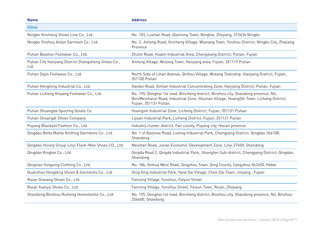| <b>Name</b>                                                 | <b>Address</b>                                                                                                                                                                                         |
|-------------------------------------------------------------|--------------------------------------------------------------------------------------------------------------------------------------------------------------------------------------------------------|
| <b>China</b>                                                |                                                                                                                                                                                                        |
| Ningbo Xincheng Shoes Line Co., Ltd.                        | No. 103, Lushan Road, Qiantong Town, Ninghai, Zhejiang, 315636 Ningbo                                                                                                                                  |
| Ningbo Yinzhou Anlan Garment Co., Ltd.                      | No. 2, Jintong Road, Xincheng Village, Wuxiang Town, Yinzhou District, Ningbo City, Zhejiang<br>Province                                                                                               |
| Putian Baishun Footwear Co., Ltd.                           | Zhulin Road, Hualin Industrial Area, Chengxiang District, Putian, Fujian                                                                                                                               |
| Putian City Hanjiang District Zhangsheng Shoes Co.,<br>Ltd. | Xinfeng Village, Wutang Town, Hanjiang area, Fujian, 351119 Putian                                                                                                                                     |
| Putian Dajin Footwear Co., Ltd.                             | North Side of Lihan Avenue, Qinhou Village, Wutang Township, Hanjiang District, Fujian,<br>351100 Putian                                                                                               |
| Putian Hengtong Industrial Co., Ltd.                        | Hanbei Road, Xinhan Industrial Concentrating Zone, Hanjiang District, Putian, Fujian                                                                                                                   |
| Putian Licheng Xinyang Footwear Co., Ltd.                   | No. 195, Donghai 1st road, Bincheng district, Binzhou city, Shandong province, Nil,<br>BinzMeishanxi Road, Industrial Zone, Shuinan Village, HuangShi Town, Licheng District,<br>Fujian, 351131 Putian |
| Putian Shuangda Sporting Goods Co.                          | Huangshi Industrial Zone, Licheng District, Fujian, 351131 Putian                                                                                                                                      |
| Putian Shuangdi Shoes Company                               | Liyuan Industrial Park, Licheng District, Fujian, 351131 Putian                                                                                                                                        |
| Puyang Blackant Fashion Co., Ltd.                           | Industry cluster district, Fan county, Puyang city, Henan province                                                                                                                                     |
| Qingdao Belle Maille Knitting Garments Co., Ltd.            | No. 1 of Baolulai Road, Liuting Industrial Park, Chengyang District, Qingdao 266108,<br>Shandong                                                                                                       |
| Qingdao Hicorp Group Linyi Flash-Man Shoes CO., Ltd.        | Meishan Road, Junan Economic Development Zone, Linyi 27600, Shandong                                                                                                                                   |
| Qingdao Kingtex Co., Ltd.                                   | Qingda Road 2, Qingda Industrial Park, Jihongtan Sub-district, Chengyang District, Qingdao,<br>Shandong                                                                                                |
| Qingxian Yongxing Clothing Co., Ltd.                        | No. 186, Xinhua West Road, Qingzhou Town, Qing County, Cangzhou 062650, Hebei                                                                                                                          |
| Quanzhou Hongfeng Shoes & Garments Co., Ltd.                | Ding Xing Industrial Park, Yand Dai Village, Chen Dai Town, Jinjiang, Fujian                                                                                                                           |
| Ruian Ouwang Shoes Co., Ltd.                                | Fanrong Village, Yunzhou, Feiyun Street                                                                                                                                                                |
| Ruian Yuanjiu Shoes Co., Ltd.                               | Fanrong Village, Yunzhou Street, Feiyun Town, Ruian, Zhejiang                                                                                                                                          |
| Shandong Binzhou Ruiheng Hometextile Co., Ltd.              | No. 195, Donghai 1st road, Bincheng district, Binzhou city, Shandong province, Nil, Binzhou<br>256600, Shandong                                                                                        |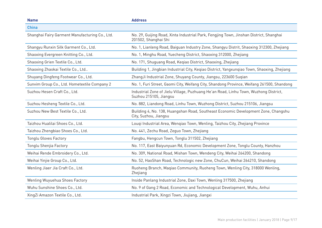| <b>Name</b>                                    | <b>Address</b>                                                                                                 |
|------------------------------------------------|----------------------------------------------------------------------------------------------------------------|
| <b>China</b>                                   |                                                                                                                |
| Shanghai Fairy Garment Manufacturing Co., Ltd. | No. 29, Guijing Road, Xinta Industrial Park, Fengjing Town, Jinshan District, Shanghai<br>201502, Shanghai Shi |
| Shangyu Runxin Silk Garment Co., Ltd.          | No. 1, Lianleng Road, Baiguan Industry Zone, Shangyu Distrit, Shaoxing 312300, Zhejiang                        |
| Shaoxing Evergreen Knitting Co., Ltd.          | No. 1, Minghu Road, Yuecheng District, Shaoxing 312000, Zhejiang                                               |
| Shaoxing Grien Textile Co., Ltd.               | No. 171, Shuguang Road, Kegiao District, Shaoxing, Zhejiang                                                    |
| Shaoxing Zhaokai Textile Co., Ltd              | Building 1, Jingbian Industrial City, Kegiao District, Yangxungiao Town, Shaoxing, Zhejiang                    |
| Shuyang Dingfeng Footwear Co., Ltd.            | ZhangJi Industrial Zone, Shuyang County, Jiangsu, 223600 Sugian                                                |
| Sunvim Group Co., Ltd. Hometextile Company 2   | No. 1, Furi Street, Gaomi City, Weifang City, Shandong Province, Weifang 261500, Shandong                      |
| Suzhou Hesen Craft Co., Ltd.                   | Industrial Zone of Jielu Village, Puzhuang He'an Road, Linhu Town, Wuzhong District,<br>Suzhou 215105, Jiangsu |
| Suzhou Hesheng Textile Co., Ltd.               | No. 882, Liandong Road, Linhu Town, Wuzhong District, Suzhou 215106, Jiangsu                                   |
| Suzhou New Best Textile Co., Ltd.              | Building 4, No. 138, Huangshan Road, Southeast Economic Development Zone, Changshu<br>City, Suzhou, Jiangsu    |
| Taizhou Hualilai Shoes Co., Ltd.               | Lougi Industrial Area, Wengiao Town, Wenling, Taizhou City, Zhejiang Province                                  |
| Taizhou Zhengbiao Shoes Co., Ltd.              | No. 441, Zechu Road, Zeguo Town, Zhejiang                                                                      |
| <b>Tonglu Gloves Factory</b>                   | Fangbu, Hengcun Town, Tonglu 311502, Zhejiang                                                                  |
| Tonglu Shenjia Factory                         | No. 117, East Baiyunyuan Rd, Economic Development Zone, Tonglu County, Hanzhou                                 |
| Weihai Rende Embroidery Co., Ltd.              | No. 309, National Road, Mishan Town, Wendeng City, Weihai 264200, Shandong                                     |
| Weihai Yinjie Group Co., Ltd.                  | No. 52, HaoShan Road, Technologic new Zone, ChuCun, Weihai 264210, Shandong                                    |
| Wenling Jiaer Jia Craft Co., Ltd.              | Ruoheng Branch, Magiao Community, Ruoheng Town, Wenling City, 318000 Wenling,<br>Zhejiang                      |
| Wenling Wuyuehua Shoes Factory                 | Inside Panlang Industrial Zone, Daxi Town, Wenling 317500, Zhejiang                                            |
| Wuhu Sunshine Shoes Co., Ltd.                  | No. 9 of Gang 2 Road, Economic and Technological Development, Wuhu, Anhui                                      |
| XingZi Amazon Textile Co., Ltd.                | Industrial Park, Xingzi Town, Jiujiang, Jiangxi                                                                |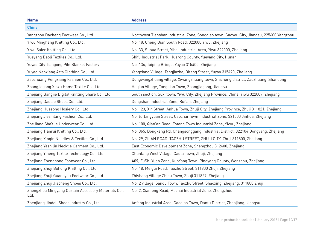| <b>Name</b>                                                 | <b>Address</b>                                                                           |
|-------------------------------------------------------------|------------------------------------------------------------------------------------------|
| <b>China</b>                                                |                                                                                          |
| Yangzhou Dacheng Footwear Co., Ltd.                         | Northwest Tianshan Industrial Zone, Songqiao town, Gaoyou City, Jiangsu, 225600 Yangzhou |
| Yiwu Mingheng Knitting Co., Ltd.                            | No. 18, Cheng Dian South Road, 322000 Yiwu, Zhejiang                                     |
| Yiwu Saier Knitting Co., Ltd.                               | No. 33, Suhua Street, Yibei Industrial Area, Yiwu 322000, Zhejiang                       |
| Yueyang Baoli Textiles Co., Ltd.                            | Shifu Industrial Park, Huarong County, Yueyang City, Hunan                               |
| Yuyao City Tiangong Pile Blanket Factory                    | No. 136, Taiping Bridge, Yuyao 315400, Zhejiang                                          |
| Yuyao Nanxiang Arts Clothing Co., Ltd.                      | Yangxiang Village, Tangjiazha, Ditang Street, Yuyao 315490, Zhejiang                     |
| Zaozhuang Pengxiang Fashion Co., Ltd.                       | Dongwangzhuang village, Xiwangzhuang town, Shizhong district, Zaozhuang, Shandong        |
| Zhangjiagang Xinxu Home Textile Co., Ltd.                   | Heqiao Village, Tangqiao Town, Zhangjiagang, Jiangsu                                     |
| Zhejiang Bangjie Digital Knitting Share Co., Ltd.           | South section, Suxi town, Yiwu City, Zhejiang Province, China, Yiwu 322009, Zhejiang     |
| Zhejiang Dagiao Shoes Co., Ltd.                             | Dongshan Industrial Zone, Rui'an, Zhejiang                                               |
| Zhejiang Huasong Hosiery Co., Ltd.                          | No. 123, Xin Street, Anhua Town, Zhuji City, Zhejiang Province, Zhuji 311821, Zhejiang   |
| Zhejiang Jiezhilang Fashion Co., Ltd.                       | No. 6, Lingyuan Street, Caozhai Town Industrial Zone, 321000 Jinhua, Zhejiang            |
| ZheJiang ShaXue Underwear Co., Ltd.                         | No. 100, Qian'an Road, Fotang Town Industrial Zone, Yiwu, Zhejiang                       |
| Zhejiang Tianrui Knitting Co., Ltd.                         | No. 365, Dongkang Rd, Changsonggang Industrial District, 322104 Dongyang, Zhejiang       |
| Zhejiang Xinqin Needles & Textiles Co., Ltd.                | No. 29, ZILAN ROAD, TAOZHU STREET, ZHUJI CITY, Zhuji 311800, Zhejiang                    |
| Zhejiang Yashilin Necktie Garment Co., Ltd.                 | East Economic Development Zone, Shengzhou 312400, Zhejiang                               |
| Zhejiang Yiheng Textile Technology Co., Ltd.                | Chuntang West Village, Caota Town, Zhuji, Zhejiang                                       |
| Zhejiang Zhenghong Footwear Co., Ltd.                       | A09, FuShi Yuan Zone, KunYang Town, Pingyang County, Wenzhou, Zhejiang                   |
| Zhejiang Zhuji Bohong Knitting Co., Ltd.                    | No. 18, Meigui Road, Taozhu Street, 311800 Zhuji, Zhejiang                               |
| Zhejiang Zhuji Guangyou Footwear Co., Ltd.                  | Zhishang Village Zhibu Town, Zhuji 311827, Zhejiang                                      |
| Zhejiang Zhuji Jiacheng Shoes Co., Ltd.                     | No. 2 village, Sandu Town, Taozhu Street, Shaoxing, Zhejiang, 311800 Zhuji               |
| Zhengzhou Mingyang Curtain Accessory Materials Co.,<br>Ltd. | No. 2, Xianfeng Road, Mazhai Industrial Zone, Zhengzhou                                  |
| Zhenjiang Jindeli Shoes Industry Co., Ltd.                  | Anfeng Industrial Area, Gaoqiao Town, Dantu District, Zhenjiang, Jiangsu                 |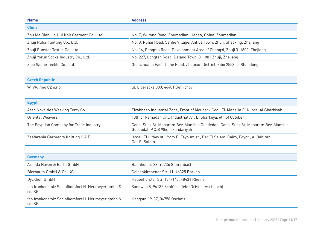| <b>Name</b>                                                 | <b>Address</b>                                                                                                        |
|-------------------------------------------------------------|-----------------------------------------------------------------------------------------------------------------------|
| <b>China</b>                                                |                                                                                                                       |
| Zhu Ma Dian Jin Hui Knit Garment Co., Ltd.                  | No. 7, Wutong Road, Zhumadian, Henan, China, Zhumadian                                                                |
| Zhuji Ruhai Knitting Co., Ltd.                              | No. 8, Ruhai Road, Sanhe Village, Anhua Town, Zhuji, Shaoxing, Zhejiang                                               |
| Zhuji Runstar Textile Co., Ltd.                             | No. 16, Rongma Road, Development Area of Chengxi, Zhuji 311800, Zhejiang                                              |
| Zhuji Yorun Socks Industry Co., Ltd.                        | No. 227, Longtan Road, Datang Town, 311801 Zhuji, Zhejiang                                                            |
| Zibo Sanhe Textile Co., Ltd.                                | Guanzhuang East, Taihe Road, Zhoucun District, Zibo 255300, Shandong                                                  |
| <b>Czech Republic</b>                                       |                                                                                                                       |
| W. Wülfing CZ s.r.o.                                        | ul. Liberecká 300, 46401 Detrichov                                                                                    |
| <b>Egypt</b>                                                |                                                                                                                       |
| Arab Novelties Weaving Terry Co.                            | Elrahbeen Industrial Zone, Front of Moubark Cool, El-Mahalla El Kubra, Al Gharbiyah                                   |
| <b>Oriental Weavers</b>                                     | 10th of Ramadan City, Industrial A1, El Sharkeya, 6th of October                                                      |
| The Eqyptian Company for Trade Industry                     | Canal Suez St. Moharam Bey, Manshia Guededah, Canal Suez St. Moharam Bey, Manshia<br>Guededah P.O.B 986, Iskandariyah |
| Zaafarania Garments Knitting S.A.E.                         | Ismail El Lithey st., from El Fayoum st., Dar El Salam, Cairo, Egypt, Al Qahirah,<br>Dar El Salam                     |
|                                                             |                                                                                                                       |
| <b>Germany</b>                                              |                                                                                                                       |
| Aranda Haven & Earth GmbH                                   | Bahnhofstr. 28, 95236 Stammbach                                                                                       |
| Bierbaum GmbH & Co. KG                                      | Gelsenkirchener Str. 11, 46325 Borken                                                                                 |
| Dyckhoff GmbH                                               | Hauenhorster Str. 131-143, 48431 Rheine                                                                               |
| fan frankenstolz Schlafkomfort H. Neumeyer gmbh &<br>co. KG | Sandweg 8, 96132 Schlüsselfeld (Ortsteil Aschbach)                                                                    |
| fan frankenstolz Schlafkomfort H. Neumeyer gmbh &<br>co. KG | Hangstr. 19-37, 04758 Oschatz                                                                                         |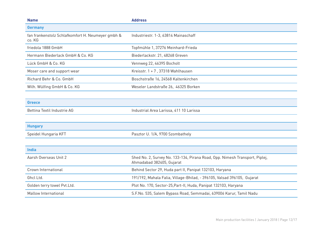| <b>Name</b>                                                 | <b>Address</b>                                                                                           |
|-------------------------------------------------------------|----------------------------------------------------------------------------------------------------------|
| <b>Germany</b>                                              |                                                                                                          |
| fan frankenstolz Schlafkomfort H. Neumeyer gmbh &<br>co. KG | Industriestr. 1-3, 63814 Mainaschaff                                                                     |
| friedola 1888 GmbH                                          | Topfmühle 1, 37276 Meinhard-Frieda                                                                       |
| Hermann Biederlack GmbH & Co. KG                            | Biederlackstr. 21, 48268 Greven                                                                          |
| Lück GmbH & Co. KG                                          | Vennweg 22, 46395 Bocholt                                                                                |
| Moser care and support wear                                 | Kreisstr. 1 + 7, 37318 Wahlhausen                                                                        |
| Richard Behr & Co. GmbH                                     | Boschstraße 16, 24568 Kaltenkirchen                                                                      |
| Wilh. Wülfing GmbH & Co. KG                                 | Weseler Landstraße 26, 46325 Borken                                                                      |
|                                                             |                                                                                                          |
| Greece                                                      |                                                                                                          |
| Bettina Textil Industrie AG                                 | Industrial Area Larissa, 411 10 Larissa                                                                  |
|                                                             |                                                                                                          |
| <b>Hungary</b>                                              |                                                                                                          |
| Speidel Hungaria KFT                                        | Pasztor U. 1/A, 9700 Szombathely                                                                         |
|                                                             |                                                                                                          |
| <b>India</b>                                                |                                                                                                          |
| Aarsh Overseas Unit 2                                       | Shed No. 2, Survey No. 133-134, Pirana Road, Opp. Nimesh Transport, Piplej,<br>Ahmadabad 382405, Gujarat |
| Crown International                                         | Behind Sector 29, Huda part II, Panipat 132103, Haryana                                                  |
| Ghcl Ltd.                                                   | 191/192, Mahala Falia, Village-Bhilad, - 396105, Valsad 396105, Gujarat                                  |
| Golden terry towel Pvt.Ltd.                                 | Plot No. 170, Sector-25, Part-II, Huda, Panipat 132103, Haryana                                          |
| Mallow International                                        | S.F.No. 535, Salem Bypass Road, Semmadai, 639006 Karur, Tamil Nadu                                       |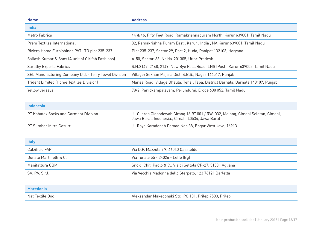| <b>Name</b>                                           | <b>Address</b>                                                                                                                         |
|-------------------------------------------------------|----------------------------------------------------------------------------------------------------------------------------------------|
| <b>India</b>                                          |                                                                                                                                        |
| <b>Metro Fabrics</b>                                  | 44 & 46, Fifty Feet Road, Ramakrishnapuram North, Karur 639001, Tamil Nadu                                                             |
| Prem Textiles International                           | 32, Ramakrishna Puram East., Karur, India, NA, Karur 639001, Tamil Nadu                                                                |
| Riviera Home Furnishings PVT LTD plot 235-237         | Plot 235-237, Sector 29, Part 2, Huda, Panipat 132103, Haryana                                                                         |
| Sailash Kumar & Sons (A unit of Girifab Fashions)     | A-50, Sector-83, Noida-201305, Uttar Pradesh                                                                                           |
| <b>Sarathy Exports Fabrics</b>                        | S.N.2147, 2148, 2149, New Bye Pass Road, LNS (Post), Karur 639002, Tamil Nadu                                                          |
| SEL Manufacturing Company Ltd. - Terry Towel Division | Village: Sekhan Majara Dist. S.B.S., Nagar 144517, Punjab                                                                              |
| <b>Trident Limited (Home Textiles Division)</b>       | Mansa Road, Village Dhaula, Tehsil Tapa, District Barnala, Barnala 148107, Punjab                                                      |
| Yellow Jerseys                                        | 78/2, Panickampalayam, Perundurai, Erode 638 052, Tamil Nadu                                                                           |
|                                                       |                                                                                                                                        |
| <b>Indonesia</b>                                      |                                                                                                                                        |
| PT Kahatex Socks and Garment Division                 | Jl. Cijerah Cigondewah Girang 16 RT.001 / RW. 032, Melong, Cimahi Selatan, Cimahi,<br>Jawa Barat, Indonesia., Cimahi 40534, Jawa Barat |
| PT Sumber Mitra Gasutri                               | Jl. Raya Karadenah Pomad Noo 38, Bogor West Java, 16913                                                                                |
|                                                       |                                                                                                                                        |
| <b>Italy</b>                                          |                                                                                                                                        |
| Calzificio FAP                                        | Via D.P. Mazzolari 9, 46040 Casaloldo                                                                                                  |
| Donato Martinelli & C.                                | Via Tonale 55 - 24026 - Leffe (Bq)                                                                                                     |
| Manifattura CBM                                       | Snc di Chiti Paolo & C., Via di Settola CP-27, 51031 Agliana                                                                           |
| SA. PA. S.r.l.                                        | Via Vecchia Madonna dello Sterpeto, 123 76121 Barletta                                                                                 |
|                                                       |                                                                                                                                        |
| <b>Macedonia</b>                                      |                                                                                                                                        |
| Nat Textile Doo                                       | Aleksandar Makedonski Str., PO 131, Prilep 7500, Prilep                                                                                |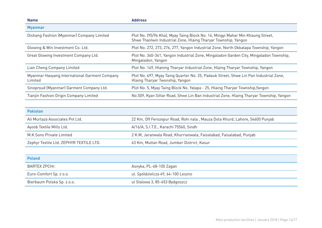| <b>Name</b>                                              | <b>Address</b>                                                                                                                                   |
|----------------------------------------------------------|--------------------------------------------------------------------------------------------------------------------------------------------------|
| <b>Myanmar</b>                                           |                                                                                                                                                  |
| Dishang Fashion (Myanmar) Company Limited                | Plot No. (95/96 Kha), Myay Taing Block No. 14, Mingyi Mahar Min Khaung Street,<br>Shwe Thanlwin Industrial Zone, Hlaing Tharyar Township, Yangon |
| Glowing & Win Investment Co. Ltd.                        | Plot No. 272, 273, 276, 277, Yangon Industrial Zone, North Okkalapa Township, Yangon                                                             |
| Great Glowing Investment Company Ltd.                    | Plot No. 340-341, Yangon Industrial Zone, Mingaladon Garden City, Mingaladon Township,<br>Mingaladon, Yangon                                     |
| Lian Cheng Company Limited                               | Plot No. 149, Hlaning Tharyar Industrial Zone, Hlaing Tharyar Township, Yangon                                                                   |
| Myanmar Haoyang International Garment Company<br>Limited | Plot No. 497, Myay Taing Quarter No. 25, Padauk Street, Shwe Lin Pan Industrial Zone,<br>Hlaing Tharyar Twonship, Yangon                         |
| Sinoproud (Myanmar) Garment Company Ltd.                 | Plot No. 5, Myay Taing Block No. Yalapa - 25, Hlaing Tharyar Township, Yangon                                                                    |
| Tianjin Fashion Origin Company Limited                   | No.509, Kyan Sittar Road, Shwe Lin Ban Industrial Zone, Hlaing Tharyar Township, Yangon                                                          |

| <b>Pakistan</b>                         |                                                                              |
|-----------------------------------------|------------------------------------------------------------------------------|
| Ali Murtaza Associates Pvt Ltd.         | 22 Km, Off Ferozepur Road, Rohi nala, Mauza Dola Khurd, Lahore, 54600 Punjab |
| Ayoob Textile Mills Ltd.                | A/16/A, S.I.T.E., Karachi 75560, Sindh                                       |
| M.K.Sons Private Limited                | 2 K.M, Jaranwala Road, Khurrianwala, Faisalabad, Faisalabad, Punjab          |
| Zephyr Textile Ltd. ZEPHYR TEXTILE LTD. | 63 Km, Multan Road, Jumber District, Kasur                                   |

| <b>Poland</b>              |                                    |
|----------------------------|------------------------------------|
| BARTEX ZPCHr.              | Asnyka, PL-68-100 Zagan            |
| Euro-Comfort Sp. z o.o.    | ul. Spóldzielcza 49, 64-100 Leszno |
| Bierbaum Polska Sp. z.o.o. | ul Stalowa 3, 85-453 Bydgoszcz     |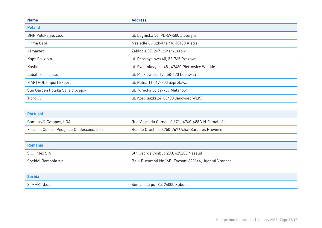| <b>Name</b>                        | <b>Address</b>                                 |
|------------------------------------|------------------------------------------------|
| <b>Poland</b>                      |                                                |
| BNP Polska Sp. zo.o.               | ul. Legnicka 56, PL-59-500 Zlotoryja           |
| Firma Gabi                         | Nasiedle ul. Szkolna 4A, 48130 Kietrz          |
| Jamartex                           | Zablocie 37, 24713 Markuszow                   |
| Kaps Sp. z o.o.                    | ul. Przemyslowa 40, 32-765 Rzezawa             |
| Kaslina                            | ul. Swietokrzyska 48, 47480 Pietrowice Wielkie |
| Lubatex sp. z.o.o.                 | ul. Mickiewicza 17, 58-420 Lubawka             |
| <b>MARTPOL Import Export</b>       | ul. Rolna 11, 67-300 Szprotawa                 |
| Sun Garden Polska Sp. z o.o. sp.k. | ul. Turecka 36 62-709 Malanów                  |
| Tibro JV                           | ul. Kosciuszki 24, 88430 Janowiec WLKP         |
|                                    |                                                |

| <b>Portugal</b>                           |                                                    |
|-------------------------------------------|----------------------------------------------------|
| Campos & Campos, LDA                      | Rua Vasco da Gama, nº 671, 4760-688 V.N. Famalicão |
| Faria da Costa - Peugas e Confeccoes, Lda | Rua do Crasto 5, 4750-767 Ucha, Barcelos Province  |
|                                           |                                                    |
| Romania                                   |                                                    |

| S.C. Intex S.A         | Str. George Cosbuc 230, 425200 Nasaud                  |
|------------------------|--------------------------------------------------------|
| Speidel Romania s.r.l. | Bdul Bucuresti Nr 16B, Focsani 620144, Judetul Vrancea |

| <b>Serbia</b>  |                                  |
|----------------|----------------------------------|
| 8. MART d.o.o. | Sencanski put 85, 24000 Subodica |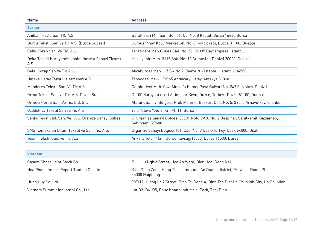| <b>Name</b>                                                   | <b>Address</b>                                                                                        |
|---------------------------------------------------------------|-------------------------------------------------------------------------------------------------------|
| <b>Turkey</b>                                                 |                                                                                                       |
| Anilsan Haylu San TIC A.S.                                    | Barakfakih Mh. San. Bol. 16. Cd. No. 8 Kestel, Bursa 16460 Bursa                                      |
| Burcu Tekstil San Ve Tic A.S. (Duzce Subesi)                  | Gumus Pinar Koyu Merkez Sk. No. 8 Koy Sokagi, Duzce 81100, Duezce                                     |
| Celik Corap San. Ve Tic. A.S.                                 | Terazidere Mah. Gunes Cad. No. 56, 34035 Bayrampasa, Istanbul                                         |
| Deka Tekstil Kuruyemis Ithalat Ihracat Sanayi Ticaret<br>A.S. | Hacieyuplu Mah. 3115 Sok. No. 12 Gumusler, Denizli 20020, Denizli                                     |
| Gelal Corap San Ve Tic A.S.                                   | Akcaburgaz Mah 117.SK No.2 Esenyurt - Istanbul, Istanbul 34500                                        |
| Hateks Hatay Tekstil Isletmeleri A.S.                         | Topbogazi Mevkii PK 65 Antakya / Hatay, Antakya 31040                                                 |
| Menderes Tekstil San. Ve Tic A.S                              | Cumhuriyet Mah. Gazi Mustafa Kemal Pasa Bulvari No. 242 Saraykoy-Denizli                              |
| Orma Tekstil San, ve Tic. A.S. Duzce Subesi                   | D-100 Karayolu uzeri Altinpinar Koyu, Duzce, Turkey., Duzce 81100, Duezce                             |
| Ormeci Corap San. Ve Tic. Ltd. Stl.                           | Atatürk Sanayi Bölgesi, Prof. Mehmet Bozkurt Cad. No. 5, 34555 Arnavutkoy, Istanbul                   |
| Ozdilek Ev Tekstil San ve Tic A.S                             | Yeni Yalova Yolu 4. Km Pk 11, Bursa                                                                   |
| Sanko Tekstil Isl. San. Ve. A.S. Oranize Sanayi Subesi        | 3. Organize Sanayi Bolgesi 83304 Nolu CAD. No. 2 Baspinar, Sehitkamil, Gaziantep,<br>Sehitkamil 27600 |
| SMS Konfeksion Dikim Tekstil ve San. Tic. A.S.                | Organize Sanayi Bolgesi 101. Cad. No. 8 Usak-Turkey, Usak 64000, Usak                                 |
| Yesim Tekstil San, ve Tic. A.S.                               | Ankara Yolu 11km. Gursu Kavsagi16580, Bursa 16580, Bursa                                              |
|                                                               |                                                                                                       |
| Vietnam                                                       |                                                                                                       |

| Vietnam                                  |                                                                                             |
|------------------------------------------|---------------------------------------------------------------------------------------------|
| Casum Shoes Joint Stock Co.              | Bui Huu Nghia Street, Hoa An Ward, Bien Hoa, Dong Nai                                       |
| Hoa Phong Import Export Trading Co. Ltd. | Kieu Dong Zone, Hong Thai commune, An Duong district, Province Thanh Pho,<br>35000 Haiphong |
| Hung Huy Co. Ltd.                        | 907/19 Huong Lo 2 Street, Binh Tri Dong A, Binh Tan Dist Ho Chi Minh City, Ho Chi Minh      |
| Vietnam Summit Industrial Co., Ltd       | Lot D3+D4+D5, Phuc Khanh Industrial Park, Thai Binh                                         |